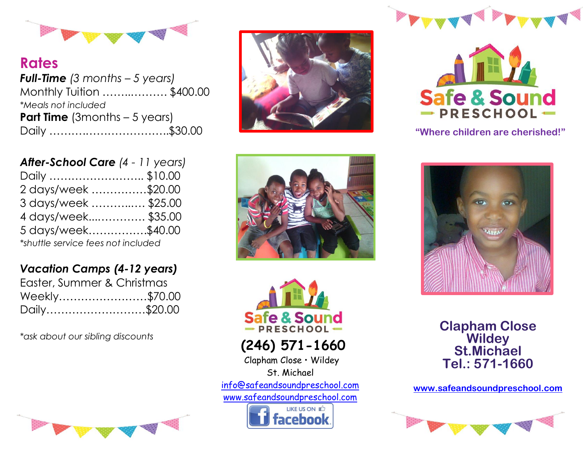

**Rates** *Full-Time (3 months – 5 years)* Monthly Tuition ……..………. \$400.00 *\*Meals not included* **Part Time** (3months – 5 years) Daily ……….…………………..\$30.00

| After-School Care (4 - 11 years)   |  |
|------------------------------------|--|
| Daily \$10.00                      |  |
| 2 days/week \$20.00                |  |
| 3 days/week \$25.00                |  |
| 4 days/week\$35.00                 |  |
| 5 days/week\$40.00                 |  |
| *shuttle service fees not included |  |

## *Vacation Camps (4-12 years)*

| Easter, Summer & Christmas |  |
|----------------------------|--|
| Weekly\$70.00              |  |
| Daily\$20.00               |  |

*\*ask about our sibling discounts*









**"Where children are cherished!"**





**(246) 571-1660**

Clapham Close • Wildey St. Michael info[@safeandsoundpreschool.com](mailto:safeandsoundpreschool@gmail.com) [www.safeandsoundpreschool.com](http://www.safeandsoundpreschool.com/)





**Clapham Close Wildey St.Michael Tel.: 571-1660**

**[www.safeandsoundpreschool.com](http://www.safeandsoundpreschool.com/)**